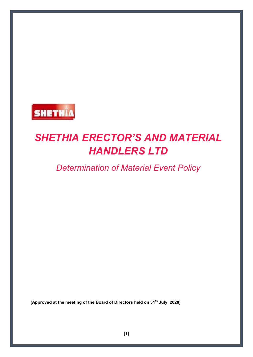

# *SHETHIA ERECTOR'S AND MATERIAL HANDLERS LTD*

# *Determination of Material Event Policy*

**(Approved at the meeting of the Board of Directors held on 31st July, 2020)**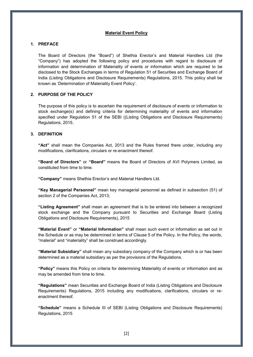#### **Material Event Policy**

## **1. PREFACE**

The Board of Directors (the "Board") of Shethia Erector's and Material Handlers Ltd (the "Company") has adopted the following policy and procedures with regard to disclosure of information and determination of Materiality of events or information which are required to be disclosed to the Stock Exchanges in terms of Regulation 51 of Securities and Exchange Board of India (Listing Obligations and Disclosure Requirements) Regulations, 2015. This policy shall be known as 'Determination of Materiality Event Policy'.

#### **2. PURPOSE OF THE POLICY**

The purpose of this policy is to ascertain the requirement of disclosure of events or information to stock exchange(s) and defining criteria for determining materiality of events and information specified under Regulation 51 of the SEBI ((Listing Obligations and Disclosure Requirements) Regulations, 2015.

#### **3. DEFINITION**

**"Act"** shall mean the Companies Act, 2013 and the Rules framed there under, including any modifications, clarifications, circulars or re-enactment thereof.

**"Board of Directors"** or **"Board"** means the Board of Directors of AVI Polymers Limited, as constituted from time to time.

**"Company"** means Shethia Erector's and Material Handlers Ltd.

**"Key Managerial Personnel"** mean key managerial personnel as defined in subsection (51) of section 2 of the Companies Act, 2013;

**"Listing Agreement"** shall mean an agreement that is to be entered into between a recognized stock exchange and the Company pursuant to Securities and Exchange Board (Listing Obligations and Disclosure Requirements), 2015

**"Material Event"** or **"Material Information"** shall mean such event or information as set out in the Schedule or as may be determined in terms of Clause 5 of the Policy. In the Policy, the words, "material" and "materiality" shall be construed accordingly.

**"Material Subsidiary"** shall mean any subsidiary company of the Company which is or has been determined as a material subsidiary as per the provisions of the Regulations.

**"Policy"** means this Policy on criteria for determining Materiality of events or information and as may be amended from time to time.

**"Regulations"** mean Securities and Exchange Board of India (Listing Obligations and Disclosure Requirements) Regulations, 2015 including any modifications, clarifications, circulars or reenactment thereof.

**"Schedule"** means a Schedule III of SEBI (Listing Obligations and Disclosure Requirements) Regulations, 2015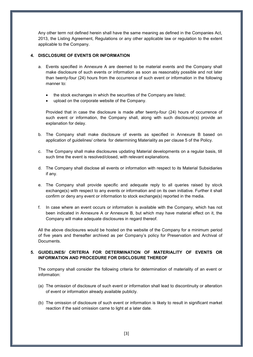Any other term not defined herein shall have the same meaning as defined in the Companies Act, 2013, the Listing Agreement, Regulations or any other applicable law or regulation to the extent applicable to the Company.

## **4. DISCLOSURE OF EVENTS OR INFORMATION**

- a. Events specified in Annexure A are deemed to be material events and the Company shall make disclosure of such events or information as soon as reasonably possible and not later than twenty-four (24) hours from the occurrence of such event or information in the following manner to:
	- the stock exchanges in which the securities of the Company are listed;
	- upload on the corporate website of the Company.

Provided that in case the disclosure is made after twenty-four (24) hours of occurrence of such event or information, the Company shall, along with such disclosure(s) provide an explanation for delay.

- b. The Company shall make disclosure of events as specified in Annexure B based on application of guidelines/ criteria for determining Materiality as per clause 5 of the Policy.
- c. The Company shall make disclosures updating Material developments on a regular basis, till such time the event is resolved/closed, with relevant explanations.
- d. The Company shall disclose all events or information with respect to its Material Subsidiaries if any.
- e. The Company shall provide specific and adequate reply to all queries raised by stock exchange(s) with respect to any events or information and on its own initiative. Further it shall confirm or deny any event or information to stock exchange(s) reported in the media.
- f. In case where an event occurs or information is available with the Company, which has not been indicated in Annexure A or Annexure B, but which may have material effect on it, the Company will make adequate disclosures in regard thereof.

All the above disclosures would be hosted on the website of the Company for a minimum period of five years and thereafter archived as per Company's policy for Preservation and Archival of Documents.

# **5. GUIDELINES/ CRITERIA FOR DETERMINATION OF MATERIALITY OF EVENTS OR INFORMATION AND PROCEDURE FOR DISCLOSURE THEREOF**

The company shall consider the following criteria for determination of materiality of an event or information:

- (a) The omission of disclosure of such event or information shall lead to discontinuity or alteration of event or information already available publicly.
- (b) The omission of disclosure of such event or information is likely to result in significant market reaction if the said omission came to light at a later date.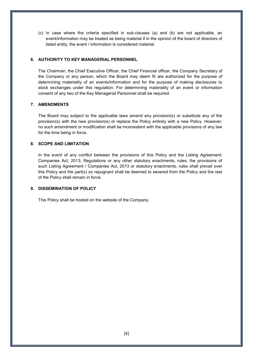(c) In case where the criteria specified in sub-clauses (a) and (b) are not applicable, an event/information may be treated as being material if in the opinion of the board of directors of listed entity, the event / information is considered material.

#### **6. AUTHORITY TO KEY MANAGERIAL PERSONNEL**

The Chairman, the Chief Executive Officer, the Chief Financial officer, the Company Secretary of the Company or any person, which the Board may deem fit are authorized for the purpose of determining materiality of an events/information and for the purpose of making disclosures to stock exchanges under this regulation. For determining materiality of an event or information consent of any two of the Key Managerial Personnel shall be required.

#### **7. AMENDMENTS**

The Board may subject to the applicable laws amend any provision(s) or substitute any of the provision(s) with the new provision(s) or replace the Policy entirely with a new Policy. However, no such amendment or modification shall be inconsistent with the applicable provisions of any law for the time being in force.

#### **8. SCOPE AND LIMITATION**

In the event of any conflict between the provisions of this Policy and the Listing Agreement; Companies Act, 2013; Regulations or any other statutory enactments, rules, the provisions of such Listing Agreement / Companies Act, 2013 or statutory enactments, rules shall prevail over this Policy and the part(s) so repugnant shall be deemed to severed from the Policy and the rest of the Policy shall remain in force.

#### **9. DISSEMINATION OF POLICY**

This Policy shall be hosted on the website of the Company.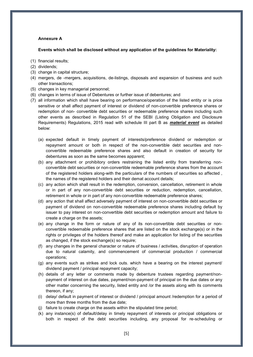#### **Annexure A**

#### **Events which shall be disclosed without any application of the guidelines for Materiality:**

- (1) financial results;
- (2) dividends;
- (3) change in capital structure;
- (4) mergers, de -mergers, acquisitions, de-listings, disposals and expansion of business and such other transactions;
- (5) changes in key managerial personnel;
- (6) changes in terms of issue of Debentures or further issue of debentures; and
- (7) all information which shall have bearing on performance/operation of the listed entity or is price sensitive or shall affect payment of interest or dividend of non-convertible preference shares or redemption of non- convertible debt securities or redeemable preference shares including such other events as described in Regulation 51 of the SEBI (Listing Obligation and Disclosure Requirements) Regulations, 2015 read with schedule III part B as *material event* as detailed below:
	- (a) expected default in timely payment of interests/preference dividend or redemption or repayment amount or both in respect of the non-convertible debt securities and nonconvertible redeemable preference shares and also default in creation of security for debentures as soon as the same becomes apparent;
	- (b) any attachment or prohibitory orders restraining the listed entity from transferring nonconvertible debt securities or non-convertible redeemable preference shares from the account of the registered holders along-with the particulars of the numbers of securities so affected , the names of the registered holders and their demat account details;
	- (c) any action which shall result in the redemption, conversion, cancellation, retirement in whole or in part of any non-convertible debt securities or reduction, redemption, cancellation, retirement in whole or in part of any non-convertible redeemable preference shares;
	- (d) any action that shall affect adversely payment of interest on non-convertible debt securities or payment of dividend on non-convertible redeemable preference shares including default by issuer to pay interest on non-convertible debt securities or redemption amount and failure to create a charge on the assets;
	- (e) any change in the form or nature of any of its non-convertible debt securities or nonconvertible redeemable preference shares that are listed on the stock exchange(s) or in the rights or privileges of the holders thereof and make an application for listing of the securities as changed, if the stock exchange(s) so require;
	- (f) any changes in the general character or nature of business / activities, disruption of operation due to natural calamity, and commencement of commercial production / commercial operations;
	- (g) any events such as strikes and lock outs. which have a bearing on the interest payment/ dividend payment / principal repayment capacity;
	- (h) details of any letter or comments made by debenture trustees regarding payment/nonpayment of interest on due dates, payment/non-payment of principal on the due dates or any other matter concerning the security, listed entity and /or the assets along with its comments thereon, if any;
	- (i) delay/ default in payment of interest or dividend / principal amount /redemption for a period of more than three months from the due date;
	- (j) failure to create charge on the assets within the stipulated time period;
	- (k) any instance(s) of default/delay in timely repayment of interests or principal obligations or both in respect of the debt securities including, any proposal for re-scheduling or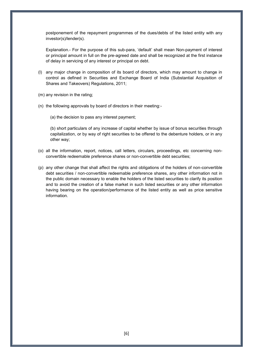postponement of the repayment programmes of the dues/debts of the listed entity with any investor(s)/lender(s).

Explanation.- For the purpose of this sub-para, 'default' shall mean Non-payment of interest or principal amount in full on the pre-agreed date and shall be recognized at the first instance of delay in servicing of any interest or principal on debt.

- (l) any major change in composition of its board of directors, which may amount to change in control as defined in Securities and Exchange Board of India (Substantial Acquisition of Shares and Takeovers) Regulations, 2011;
- (m) any revision in the rating;
- (n) the following approvals by board of directors in their meeting:-
	- (a) the decision to pass any interest payment;

(b) short particulars of any increase of capital whether by issue of bonus securities through capitalization, or by way of right securities to be offered to the debenture holders, or in any other way;

- (o) all the information, report, notices, call letters, circulars, proceedings, etc concerning nonconvertible redeemable preference shares or non-convertible debt securities;
- (p) any other change that shall affect the rights and obligations of the holders of non-convertible debt securities / non-convertible redeemable preference shares, any other information not in the public domain necessary to enable the holders of the listed securities to clarify its position and to avoid the creation of a false market in such listed securities or any other information having bearing on the operation/performance of the listed entity as well as price sensitive information.